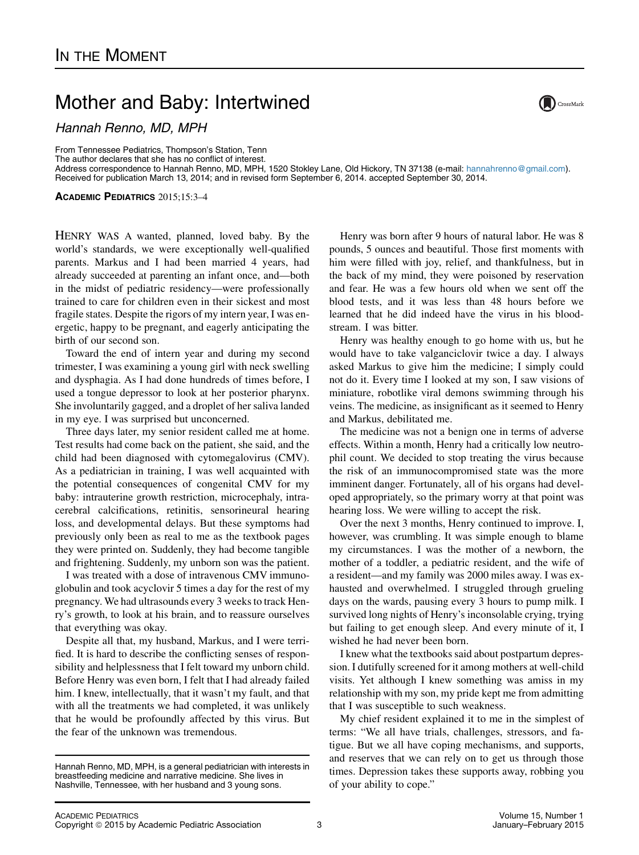## Mother and Baby: Intertwined

Hannah Renno, MD, MPH

From Tennessee Pediatrics, Thompson's Station, Tenn

The author declares that she has no conflict of interest.

Address correspondence to Hannah Renno, MD, MPH, 1520 Stokley Lane, Old Hickory, TN 37138 (e-mail: [hannahrenno@gmail.com\)](mailto:hannahrenno@gmail.com). Received for publication March 13, 2014; and in revised form September 6, 2014. accepted September 30, 2014.

ACADEMIC PEDIATRICS 2015;15:3–4

HENRY WAS A wanted, planned, loved baby. By the world's standards, we were exceptionally well-qualified parents. Markus and I had been married 4 years, had already succeeded at parenting an infant once, and—both in the midst of pediatric residency—were professionally trained to care for children even in their sickest and most fragile states. Despite the rigors of my intern year, I was energetic, happy to be pregnant, and eagerly anticipating the birth of our second son.

Toward the end of intern year and during my second trimester, I was examining a young girl with neck swelling and dysphagia. As I had done hundreds of times before, I used a tongue depressor to look at her posterior pharynx. She involuntarily gagged, and a droplet of her saliva landed in my eye. I was surprised but unconcerned.

Three days later, my senior resident called me at home. Test results had come back on the patient, she said, and the child had been diagnosed with cytomegalovirus (CMV). As a pediatrician in training, I was well acquainted with the potential consequences of congenital CMV for my baby: intrauterine growth restriction, microcephaly, intracerebral calcifications, retinitis, sensorineural hearing loss, and developmental delays. But these symptoms had previously only been as real to me as the textbook pages they were printed on. Suddenly, they had become tangible and frightening. Suddenly, my unborn son was the patient.

I was treated with a dose of intravenous CMV immunoglobulin and took acyclovir 5 times a day for the rest of my pregnancy. We had ultrasounds every 3 weeks to track Henry's growth, to look at his brain, and to reassure ourselves that everything was okay.

Despite all that, my husband, Markus, and I were terrified. It is hard to describe the conflicting senses of responsibility and helplessness that I felt toward my unborn child. Before Henry was even born, I felt that I had already failed him. I knew, intellectually, that it wasn't my fault, and that with all the treatments we had completed, it was unlikely that he would be profoundly affected by this virus. But the fear of the unknown was tremendous.

Henry was born after 9 hours of natural labor. He was 8 pounds, 5 ounces and beautiful. Those first moments with him were filled with joy, relief, and thankfulness, but in the back of my mind, they were poisoned by reservation and fear. He was a few hours old when we sent off the blood tests, and it was less than 48 hours before we learned that he did indeed have the virus in his bloodstream. I was bitter.

Henry was healthy enough to go home with us, but he would have to take valganciclovir twice a day. I always asked Markus to give him the medicine; I simply could not do it. Every time I looked at my son, I saw visions of miniature, robotlike viral demons swimming through his veins. The medicine, as insignificant as it seemed to Henry and Markus, debilitated me.

The medicine was not a benign one in terms of adverse effects. Within a month, Henry had a critically low neutrophil count. We decided to stop treating the virus because the risk of an immunocompromised state was the more imminent danger. Fortunately, all of his organs had developed appropriately, so the primary worry at that point was hearing loss. We were willing to accept the risk.

Over the next 3 months, Henry continued to improve. I, however, was crumbling. It was simple enough to blame my circumstances. I was the mother of a newborn, the mother of a toddler, a pediatric resident, and the wife of a resident—and my family was 2000 miles away. I was exhausted and overwhelmed. I struggled through grueling days on the wards, pausing every 3 hours to pump milk. I survived long nights of Henry's inconsolable crying, trying but failing to get enough sleep. And every minute of it, I wished he had never been born.

I knew what the textbooks said about postpartum depression. I dutifully screened for it among mothers at well-child visits. Yet although I knew something was amiss in my relationship with my son, my pride kept me from admitting that I was susceptible to such weakness.

My chief resident explained it to me in the simplest of terms: "We all have trials, challenges, stressors, and fatigue. But we all have coping mechanisms, and supports, and reserves that we can rely on to get us through those times. Depression takes these supports away, robbing you of your ability to cope."



Hannah Renno, MD, MPH, is a general pediatrician with interests in breastfeeding medicine and narrative medicine. She lives in Nashville, Tennessee, with her husband and 3 young sons.